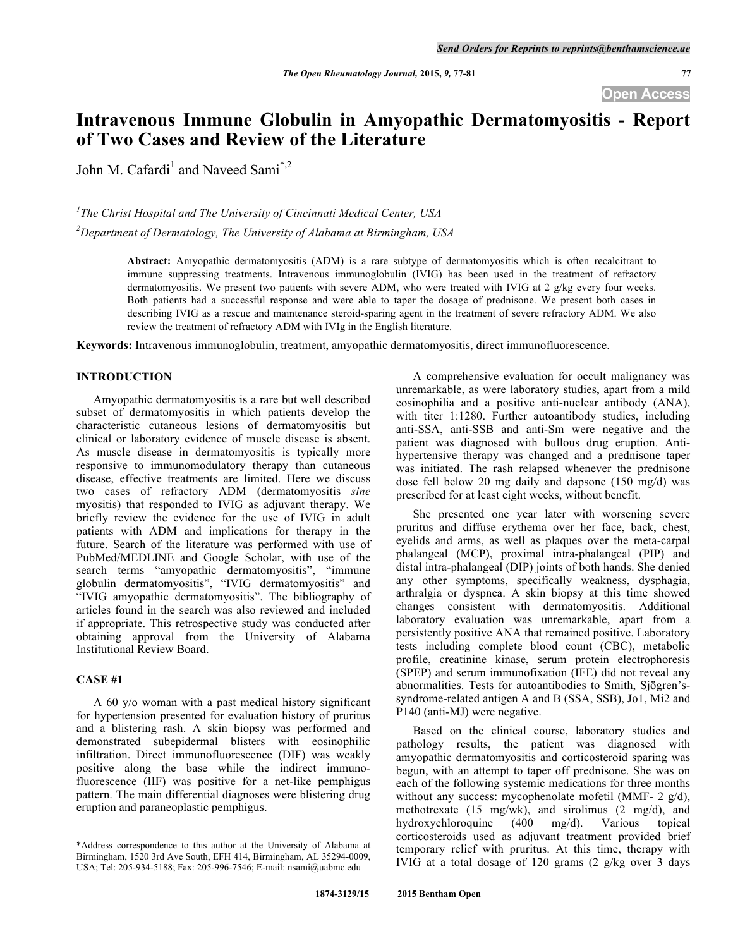# **Intravenous Immune Globulin in Amyopathic Dermatomyositis - Report of Two Cases and Review of the Literature**

John M. Cafardi<sup>1</sup> and Naveed Sami<sup>\*,2</sup>

*1 The Christ Hospital and The University of Cincinnati Medical Center, USA 2 Department of Dermatology, The University of Alabama at Birmingham, USA*

> **Abstract:** Amyopathic dermatomyositis (ADM) is a rare subtype of dermatomyositis which is often recalcitrant to immune suppressing treatments. Intravenous immunoglobulin (IVIG) has been used in the treatment of refractory dermatomyositis. We present two patients with severe ADM, who were treated with IVIG at 2 g/kg every four weeks. Both patients had a successful response and were able to taper the dosage of prednisone. We present both cases in describing IVIG as a rescue and maintenance steroid-sparing agent in the treatment of severe refractory ADM. We also review the treatment of refractory ADM with IVIg in the English literature.

**Keywords:** Intravenous immunoglobulin, treatment, amyopathic dermatomyositis, direct immunofluorescence.

### **INTRODUCTION**

Amyopathic dermatomyositis is a rare but well described subset of dermatomyositis in which patients develop the characteristic cutaneous lesions of dermatomyositis but clinical or laboratory evidence of muscle disease is absent. As muscle disease in dermatomyositis is typically more responsive to immunomodulatory therapy than cutaneous disease, effective treatments are limited. Here we discuss two cases of refractory ADM (dermatomyositis *sine* myositis) that responded to IVIG as adjuvant therapy. We briefly review the evidence for the use of IVIG in adult patients with ADM and implications for therapy in the future. Search of the literature was performed with use of PubMed/MEDLINE and Google Scholar, with use of the search terms "amyopathic dermatomyositis", "immune globulin dermatomyositis", "IVIG dermatomyositis" and "IVIG amyopathic dermatomyositis". The bibliography of articles found in the search was also reviewed and included if appropriate. This retrospective study was conducted after obtaining approval from the University of Alabama Institutional Review Board.

# **CASE #1**

A 60 y/o woman with a past medical history significant for hypertension presented for evaluation history of pruritus and a blistering rash. A skin biopsy was performed and demonstrated subepidermal blisters with eosinophilic infiltration. Direct immunofluorescence (DIF) was weakly positive along the base while the indirect immunofluorescence (IIF) was positive for a net-like pemphigus pattern. The main differential diagnoses were blistering drug eruption and paraneoplastic pemphigus.

A comprehensive evaluation for occult malignancy was unremarkable, as were laboratory studies, apart from a mild eosinophilia and a positive anti-nuclear antibody (ANA), with titer 1:1280. Further autoantibody studies, including anti-SSA, anti-SSB and anti-Sm were negative and the patient was diagnosed with bullous drug eruption. Antihypertensive therapy was changed and a prednisone taper was initiated. The rash relapsed whenever the prednisone dose fell below 20 mg daily and dapsone (150 mg/d) was prescribed for at least eight weeks, without benefit.

She presented one year later with worsening severe pruritus and diffuse erythema over her face, back, chest, eyelids and arms, as well as plaques over the meta-carpal phalangeal (MCP), proximal intra-phalangeal (PIP) and distal intra-phalangeal (DIP) joints of both hands. She denied any other symptoms, specifically weakness, dysphagia, arthralgia or dyspnea. A skin biopsy at this time showed changes consistent with dermatomyositis. Additional laboratory evaluation was unremarkable, apart from a persistently positive ANA that remained positive. Laboratory tests including complete blood count (CBC), metabolic profile, creatinine kinase, serum protein electrophoresis (SPEP) and serum immunofixation (IFE) did not reveal any abnormalities. Tests for autoantibodies to Smith, Sjögren'ssyndrome-related antigen A and B (SSA, SSB), Jo1, Mi2 and P140 (anti-MJ) were negative.

Based on the clinical course, laboratory studies and pathology results, the patient was diagnosed with amyopathic dermatomyositis and corticosteroid sparing was begun, with an attempt to taper off prednisone. She was on each of the following systemic medications for three months without any success: mycophenolate mofetil (MMF- 2 g/d), methotrexate (15 mg/wk), and sirolimus (2 mg/d), and hydroxychloroquine (400 mg/d). Various topical hydroxychloroquine (400 mg/d). Various topical corticosteroids used as adjuvant treatment provided brief temporary relief with pruritus. At this time, therapy with IVIG at a total dosage of 120 grams (2 g/kg over 3 days

<sup>\*</sup>Address correspondence to this author at the University of Alabama at Birmingham, 1520 3rd Ave South, EFH 414, Birmingham, AL 35294-0009, USA; Tel: 205-934-5188; Fax: 205-996-7546; E-mail: nsami@uabmc.edu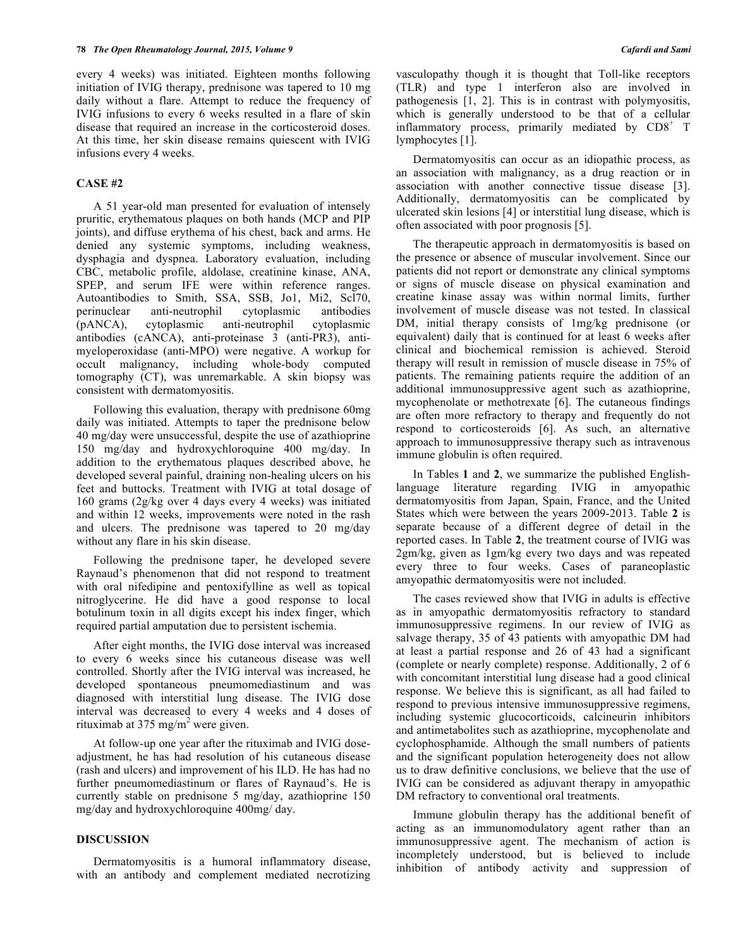every 4 weeks) was initiated. Eighteen months following initiation of IVIG therapy, prednisone was tapered to 10 mg daily without a flare. Attempt to reduce the frequency of IVIG infusions to every 6 weeks resulted in a flare of skin disease that required an increase in the corticosteroid doses. At this time, her skin disease remains quiescent with IVIG infusions every 4 weeks.

## **CASE #2**

A 51 year-old man presented for evaluation of intensely pruritic, erythematous plaques on both hands (MCP and PIP joints), and diffuse erythema of his chest, back and arms. He denied any systemic symptoms, including weakness, dysphagia and dyspnea. Laboratory evaluation, including CBC, metabolic profile, aldolase, creatinine kinase, ANA, SPEP, and serum IFE were within reference ranges. Autoantibodies to Smith, SSA, SSB, Jo1, Mi2, Scl70, perinuclear anti-neutrophil cytoplasmic antibodies (pANCA), cytoplasmic anti-neutrophil cytoplasmic antibodies (cANCA), anti-proteinase 3 (anti-PR3), antimyeloperoxidase (anti-MPO) were negative. A workup for occult malignancy, including whole-body computed tomography (CT), was unremarkable. A skin biopsy was consistent with dermatomyositis.

Following this evaluation, therapy with prednisone 60mg daily was initiated. Attempts to taper the prednisone below 40 mg/day were unsuccessful, despite the use of azathioprine 150 mg/day and hydroxychloroquine 400 mg/day. In addition to the erythematous plaques described above, he developed several painful, draining non-healing ulcers on his feet and buttocks. Treatment with IVIG at total dosage of 160 grams (2g/kg over 4 days every 4 weeks) was initiated and within 12 weeks, improvements were noted in the rash and ulcers. The prednisone was tapered to 20 mg/day without any flare in his skin disease.

Following the prednisone taper, he developed severe Raynaud's phenomenon that did not respond to treatment with oral nifedipine and pentoxifylline as well as topical nitroglycerine. He did have a good response to local botulinum toxin in all digits except his index finger, which required partial amputation due to persistent ischemia.

After eight months, the IVIG dose interval was increased to every 6 weeks since his cutaneous disease was well controlled. Shortly after the IVIG interval was increased, he developed spontaneous pneumomediastinum and was diagnosed with interstitial lung disease. The IVIG dose interval was decreased to every 4 weeks and 4 doses of rituximab at 375 mg/m<sup>2</sup> were given.

At follow-up one year after the rituximab and IVIG doseadjustment, he has had resolution of his cutaneous disease (rash and ulcers) and improvement of his ILD. He has had no further pneumomediastinum or flares of Raynaud's. He is currently stable on prednisone 5 mg/day, azathioprine 150 mg/day and hydroxychloroquine 400mg/ day.

#### **DISCUSSION**

Dermatomyositis is a humoral inflammatory disease, with an antibody and complement mediated necrotizing vasculopathy though it is thought that Toll-like receptors (TLR) and type 1 interferon also are involved in pathogenesis  $\begin{bmatrix} 1 \\ 2 \end{bmatrix}$ . This is in contrast with polymyositis, which is generally understood to be that of a cellular inflammatory process, primarily mediated by  $CDS^+$  T lymphocytes [1].

Dermatomyositis can occur as an idiopathic process, as an association with malignancy, as a drug reaction or in association with another connective tissue disease [3]. Additionally, dermatomyositis can be complicated by ulcerated skin lesions [4] or interstitial lung disease, which is often associated with poor prognosis [5].

The therapeutic approach in dermatomyositis is based on the presence or absence of muscular involvement. Since our patients did not report or demonstrate any clinical symptoms or signs of muscle disease on physical examination and creatine kinase assay was within normal limits, further involvement of muscle disease was not tested. In classical DM, initial therapy consists of 1mg/kg prednisone (or equivalent) daily that is continued for at least 6 weeks after clinical and biochemical remission is achieved. Steroid therapy will result in remission of muscle disease in 75% of patients. The remaining patients require the addition of an additional immunosuppressive agent such as azathioprine, mycophenolate or methotrexate [6]. The cutaneous findings are often more refractory to therapy and frequently do not respond to corticosteroids [6]. As such, an alternative approach to immunosuppressive therapy such as intravenous immune globulin is often required.

In Tables **1** and **2**, we summarize the published Englishlanguage literature regarding IVIG in amyopathic dermatomyositis from Japan, Spain, France, and the United States which were between the years 2009-2013. Table **2** is separate because of a different degree of detail in the reported cases. In Table **2**, the treatment course of IVIG was 2gm/kg, given as 1gm/kg every two days and was repeated every three to four weeks. Cases of paraneoplastic amyopathic dermatomyositis were not included.

The cases reviewed show that IVIG in adults is effective as in amyopathic dermatomyositis refractory to standard immunosuppressive regimens. In our review of IVIG as salvage therapy, 35 of 43 patients with amyopathic DM had at least a partial response and 26 of 43 had a significant (complete or nearly complete) response. Additionally, 2 of 6 with concomitant interstitial lung disease had a good clinical response. We believe this is significant, as all had failed to respond to previous intensive immunosuppressive regimens, including systemic glucocorticoids, calcineurin inhibitors and antimetabolites such as azathioprine, mycophenolate and cyclophosphamide. Although the small numbers of patients and the significant population heterogeneity does not allow us to draw definitive conclusions, we believe that the use of IVIG can be considered as adjuvant therapy in amyopathic DM refractory to conventional oral treatments.

Immune globulin therapy has the additional benefit of acting as an immunomodulatory agent rather than an immunosuppressive agent. The mechanism of action is incompletely understood, but is believed to include inhibition of antibody activity and suppression of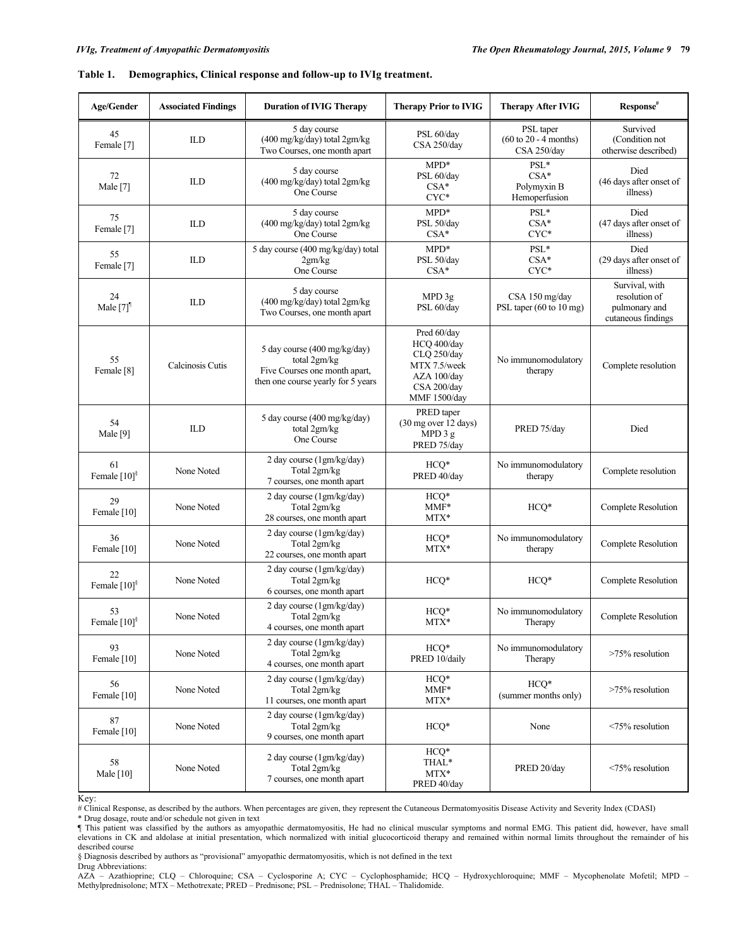| Table 1. | Demographics, Clinical response and follow-up to IVIg treatment. |  |  |  |
|----------|------------------------------------------------------------------|--|--|--|
|          |                                                                  |  |  |  |

| Age/Gender                       | <b>Associated Findings</b> | <b>Duration of IVIG Therapy</b>                                                                                     | <b>Therapy Prior to IVIG</b>                                                                            | <b>Therapy After IVIG</b>                                            | Response <sup>#</sup>                                                  |
|----------------------------------|----------------------------|---------------------------------------------------------------------------------------------------------------------|---------------------------------------------------------------------------------------------------------|----------------------------------------------------------------------|------------------------------------------------------------------------|
| 45<br>Female [7]                 | ILD                        | 5 day course<br>(400 mg/kg/day) total 2gm/kg<br>Two Courses, one month apart                                        | PSL 60/day<br>CSA 250/day                                                                               | PSL taper<br>$(60 \text{ to } 20 - 4 \text{ months})$<br>CSA 250/day | Survived<br>(Condition not<br>otherwise described)                     |
| 72<br>Male [7]                   | ILD                        | 5 day course<br>(400 mg/kg/day) total 2gm/kg<br>One Course                                                          | $MPD*$<br>PSL 60/day<br>$CSA*$<br>CYC*                                                                  | $\mathrm{PSL}^*$<br>$CSA*$<br>Polymyxin B<br>Hemoperfusion           | Died<br>(46 days after onset of<br>illness)                            |
| 75<br>Female [7]                 | ILD                        | 5 day course<br>(400 mg/kg/day) total 2gm/kg<br>One Course                                                          | $MPD*$<br>PSL 50/day<br>$CSA*$                                                                          | $\mathrm{PSL}^*$<br>$CSA*$<br>$CYC*$                                 | Died<br>(47 days after onset of<br>illness)                            |
| 55<br>Female [7]                 | <b>ILD</b>                 | 5 day course (400 mg/kg/day) total<br>2gm/kg<br>One Course                                                          | $MPD*$<br>PSL 50/day<br>$CSA*$                                                                          | $PSL*$<br>$CSA*$<br>$CYC*$                                           | Died<br>(29 days after onset of<br>illness)                            |
| 24<br>Male $[7]$ <sup>1</sup>    | ILD                        | 5 day course<br>(400 mg/kg/day) total 2gm/kg<br>Two Courses, one month apart                                        | MPD 3g<br>PSL 60/day                                                                                    | CSA 150 mg/day<br>PSL taper (60 to 10 mg)                            | Survival, with<br>resolution of<br>pulmonary and<br>cutaneous findings |
| 55<br>Female <sup>[8]</sup>      | Calcinosis Cutis           | 5 day course (400 mg/kg/day)<br>total 2gm/kg<br>Five Courses one month apart,<br>then one course yearly for 5 years | Pred 60/day<br>HCQ 400/day<br>CLQ 250/day<br>MTX 7.5/week<br>AZA 100/day<br>CSA 200/day<br>MMF 1500/day | No immunomodulatory<br>therapy                                       | Complete resolution                                                    |
| 54<br>Male [9]                   | <b>ILD</b>                 | 5 day course (400 mg/kg/day)<br>total 2gm/kg<br>One Course                                                          | PRED taper<br>(30 mg over 12 days)<br>MPD 3 g<br>PRED 75/day                                            | PRED 75/day                                                          | Died                                                                   |
| 61<br>Female $[10]$ <sup>§</sup> | None Noted                 | 2 day course (1gm/kg/day)<br>Total 2gm/kg<br>7 courses, one month apart                                             | $HCQ*$<br>PRED 40/day                                                                                   | No immunomodulatory<br>therapy                                       | Complete resolution                                                    |
| 29<br>Female [10]                | None Noted                 | 2 day course (1gm/kg/day)<br>Total 2gm/kg<br>28 courses, one month apart                                            | $HCQ*$<br>MMF*<br>$MTX^*$                                                                               | $HCQ*$                                                               | Complete Resolution                                                    |
| 36<br>Female [10]                | None Noted                 | 2 day course (1gm/kg/day)<br>Total 2gm/kg<br>22 courses, one month apart                                            | $HCQ*$<br>$MTX^*$                                                                                       | No immunomodulatory<br>therapy                                       | Complete Resolution                                                    |
| 22<br>Female $[10]$ <sup>§</sup> | None Noted                 | 2 day course (1gm/kg/day)<br>Total 2gm/kg<br>6 courses, one month apart                                             | HCQ*                                                                                                    | $HCQ*$                                                               | Complete Resolution                                                    |
| 53<br>Female [10] <sup>§</sup>   | None Noted                 | 2 day course (1gm/kg/day)<br>Total 2gm/kg<br>4 courses, one month apart                                             | $HCQ*$<br>$MTX^*$                                                                                       | No immunomodulatory<br>Therapy                                       | Complete Resolution                                                    |
| 93<br>Female [10]                | None Noted                 | 2 day course (1gm/kg/day)<br>Total 2gm/kg<br>4 courses, one month apart                                             | $HCO*$<br>PRED 10/daily                                                                                 | No immunomodulatory<br>Therapy                                       | >75% resolution                                                        |
| 56<br>Female [10]                | None Noted                 | 2 day course (1gm/kg/day)<br>Total 2gm/kg<br>11 courses, one month apart                                            | $HCQ*$<br>$MMF*$<br>$MTX^*$                                                                             | $HCO*$<br>(summer months only)                                       | >75% resolution                                                        |
| 87<br>Female [10]                | None Noted                 | 2 day course (1gm/kg/day)<br>Total 2gm/kg<br>9 courses, one month apart                                             | $HCO*$                                                                                                  | None                                                                 | $\leq$ 75% resolution                                                  |
| 58<br>Male [10]                  | None Noted                 | 2 day course (1gm/kg/day)<br>Total 2gm/kg<br>7 courses, one month apart                                             | $HCO*$<br>THAL*<br>$MTX^*$<br>PRED 40/day                                                               | PRED 20/day                                                          | $\leq$ 75% resolution                                                  |

Key:

# Clinical Response, as described by the authors. When percentages are given, they represent the Cutaneous Dermatomyositis Disease Activity and Severity Index (CDASI)

\* Drug dosage, route and/or schedule not given in text

¶ This patient was classified by the authors as amyopathic dermatomyositis, He had no clinical muscular symptoms and normal EMG. This patient did, however, have small elevations in CK and aldolase at initial presentation, which normalized with initial glucocorticoid therapy and remained within normal limits throughout the remainder of his described course

§ Diagnosis described by authors as "provisional" amyopathic dermatomyositis, which is not defined in the text Drug Abbreviations:

AZA – Azathioprine; CLQ – Chloroquine; CSA – Cyclosporine A; CYC – Cyclophosphamide; HCQ – Hydroxychloroquine; MMF – Mycophenolate Mofetil; MPD – Methylprednisolone; MTX – Methotrexate; PRED – Prednisone; PSL – Prednisolone; THAL – Thalidomide.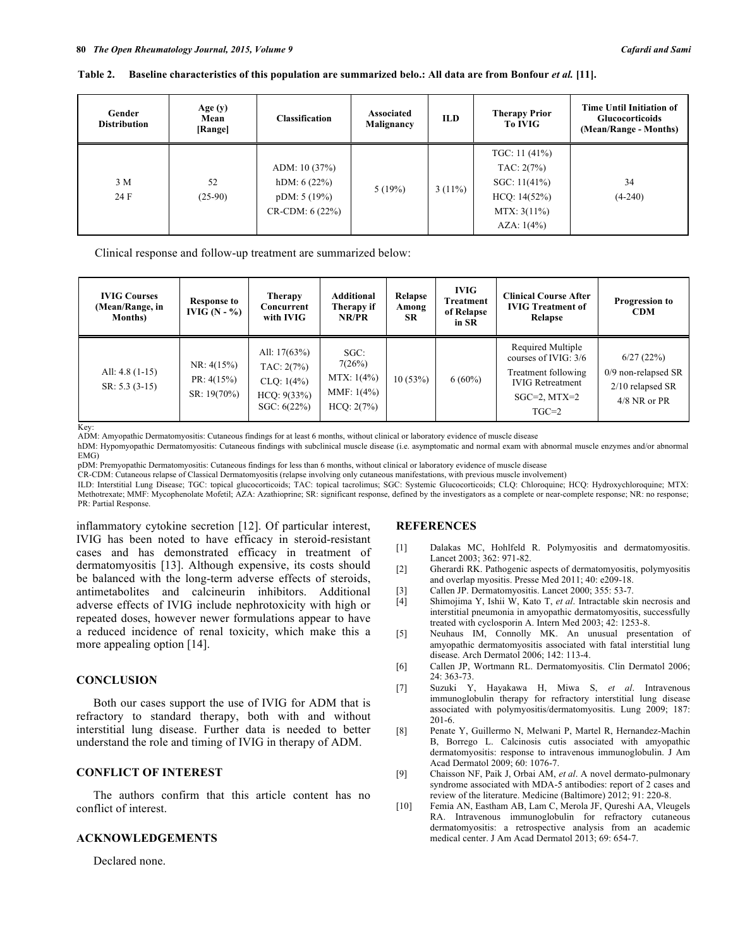#### **Table 2. Baseline characteristics of this population are summarized belo.: All data are from Bonfour** *et al.* **[11].**

| Gender<br><b>Distribution</b> | Age $(y)$<br>Mean<br>[Range] | <b>Classification</b>                                               | Associated<br>Malignancy | <b>ILD</b> | <b>Therapy Prior</b><br>To IVIG                                                              | <b>Time Until Initiation of</b><br><b>Glucocorticoids</b><br>(Mean/Range - Months) |
|-------------------------------|------------------------------|---------------------------------------------------------------------|--------------------------|------------|----------------------------------------------------------------------------------------------|------------------------------------------------------------------------------------|
| 3 M<br>24 F                   | 52<br>$(25-90)$              | ADM: $10(37%)$<br>hDM: 6(22%)<br>pDM: 5(19%)<br>$CR$ -CDM: $6(22%)$ | 5(19%)                   | $3(11\%)$  | TGC: $11(41%)$<br>TAC: 2(7%)<br>SGC: $11(41\%)$<br>HCQ: 14(52%)<br>MTX: 3(11%)<br>AZA: 1(4%) | 34<br>$(4-240)$                                                                    |

Clinical response and follow-up treatment are summarized below:

| <b>IVIG Courses</b><br>(Mean/Range, in<br><b>Months</b> ) | <b>Response to</b><br>IVIG $(N - %)$       | <b>Therapy</b><br>Concurrent<br>with IVIG                                | Additional<br>Therapy if<br>NR/PR                             | Relapse<br>Among<br><b>SR</b> | <b>IVIG</b><br><b>Treatment</b><br>of Relapse<br>in SR | <b>Clinical Course After</b><br><b>IVIG Treatment of</b><br>Relapse                                                           | <b>Progression to</b><br><b>CDM</b>                                      |
|-----------------------------------------------------------|--------------------------------------------|--------------------------------------------------------------------------|---------------------------------------------------------------|-------------------------------|--------------------------------------------------------|-------------------------------------------------------------------------------------------------------------------------------|--------------------------------------------------------------------------|
| All: $4.8(1-15)$<br>$SR: 5.3 (3-15)$                      | NR: 4(15%)<br>PR: 4(15%)<br>$SR: 19(70\%)$ | All: $17(63%)$<br>TAC: 2(7%)<br>CLQ: 1(4%)<br>HCQ: 9(33%)<br>SGC: 6(22%) | $SGC$ :<br>7(26%)<br>MTX: 1(4%)<br>MMF: $1(4%)$<br>HCO: 2(7%) | 10(53%)                       | $6(60\%)$                                              | Required Multiple<br>courses of IVIG: $3/6$<br>Treatment following<br><b>IVIG</b> Retreatment<br>$SGC=2$ , $MTX=2$<br>$TGC=2$ | 6/27(22%)<br>0/9 non-relapsed SR<br>$2/10$ relapsed SR<br>$4/8$ NR or PR |

Key:

ADM: Amyopathic Dermatomyositis: Cutaneous findings for at least 6 months, without clinical or laboratory evidence of muscle disease

hDM: Hypomyopathic Dermatomyositis: Cutaneous findings with subclinical muscle disease (i.e. asymptomatic and normal exam with abnormal muscle enzymes and/or abnormal EMG)

pDM: Premyopathic Dermatomyositis: Cutaneous findings for less than 6 months, without clinical or laboratory evidence of muscle disease

CR-CDM: Cutaneous relapse of Classical Dermatomyositis (relapse involving only cutaneous manifestations, with previous muscle involvement)

ILD: Interstitial Lung Disease; TGC: topical glucocorticoids; TAC: topical tacrolimus; SGC: Systemic Glucocorticoids; CLQ: Chloroquine; HCQ: Hydroxychloroquine; MTX: Methotrexate; MMF: Mycophenolate Mofetil; AZA: Azathioprine; SR: significant response, defined by the investigators as a complete or near-complete response; NR: no response; PR: Partial Response.

inflammatory cytokine secretion [12]. Of particular interest, IVIG has been noted to have efficacy in steroid-resistant cases and has demonstrated efficacy in treatment of dermatomyositis [13]. Although expensive, its costs should be balanced with the long-term adverse effects of steroids, antimetabolites and calcineurin inhibitors. Additional adverse effects of IVIG include nephrotoxicity with high or repeated doses, however newer formulations appear to have a reduced incidence of renal toxicity, which make this a more appealing option [14].

#### **CONCLUSION**

Both our cases support the use of IVIG for ADM that is refractory to standard therapy, both with and without interstitial lung disease. Further data is needed to better understand the role and timing of IVIG in therapy of ADM.

# **CONFLICT OF INTEREST**

The authors confirm that this article content has no conflict of interest.

#### **ACKNOWLEDGEMENTS**

Declared none.

#### **REFERENCES**

- [1] Dalakas MC, Hohlfeld R. Polymyositis and dermatomyositis. Lancet 2003; 362: 971-82.
- [2] Gherardi RK. Pathogenic aspects of dermatomyositis, polymyositis and overlap myositis. Presse Med 2011; 40: e209-18.
- [3] Callen JP. Dermatomyositis. Lancet 2000; 355: 53-7.
- [4] Shimojima Y, Ishii W, Kato T, *et al*. Intractable skin necrosis and interstitial pneumonia in amyopathic dermatomyositis, successfully treated with cyclosporin A. Intern Med 2003; 42: 1253-8.
- [5] Neuhaus IM, Connolly MK. An unusual presentation of amyopathic dermatomyositis associated with fatal interstitial lung disease. Arch Dermatol 2006; 142: 113-4.
- [6] Callen JP, Wortmann RL. Dermatomyositis. Clin Dermatol 2006; 24: 363-73.
- [7] Suzuki Y, Hayakawa H, Miwa S, *et al*. Intravenous immunoglobulin therapy for refractory interstitial lung disease associated with polymyositis/dermatomyositis. Lung 2009; 187: 201-6.
- [8] Penate Y, Guillermo N, Melwani P, Martel R, Hernandez-Machin B, Borrego L. Calcinosis cutis associated with amyopathic dermatomyositis: response to intravenous immunoglobulin. J Am Acad Dermatol 2009; 60: 1076-7.
- [9] Chaisson NF, Paik J, Orbai AM, *et al*. A novel dermato-pulmonary syndrome associated with MDA-5 antibodies: report of 2 cases and review of the literature. Medicine (Baltimore) 2012; 91: 220-8.
- [10] Femia AN, Eastham AB, Lam C, Merola JF, Qureshi AA, Vleugels RA. Intravenous immunoglobulin for refractory cutaneous dermatomyositis: a retrospective analysis from an academic medical center. J Am Acad Dermatol 2013; 69: 654-7.